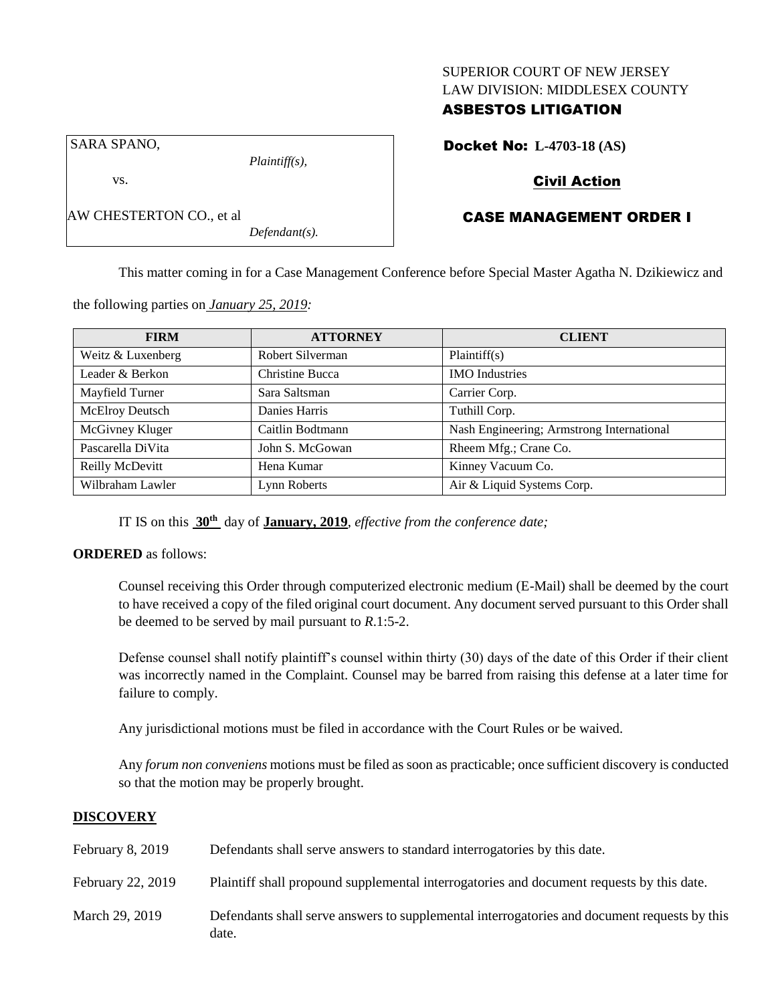### SUPERIOR COURT OF NEW JERSEY LAW DIVISION: MIDDLESEX COUNTY

# ASBESTOS LITIGATION

Docket No: **L-4703-18 (AS)**

SARA SPANO,

vs.

AW CHESTERTON CO., et al

*Plaintiff(s),*

*Defendant(s).*

Civil Action

# CASE MANAGEMENT ORDER I

This matter coming in for a Case Management Conference before Special Master Agatha N. Dzikiewicz and

| <b>FIRM</b>       | <b>ATTORNEY</b>  | <b>CLIENT</b>                             |
|-------------------|------------------|-------------------------------------------|
| Weitz & Luxenberg | Robert Silverman | Plaintiff(s)                              |
| Leader & Berkon   | Christine Bucca  | <b>IMO</b> Industries                     |
| Mayfield Turner   | Sara Saltsman    | Carrier Corp.                             |
| McElroy Deutsch   | Danies Harris    | Tuthill Corp.                             |
| McGivney Kluger   | Caitlin Bodtmann | Nash Engineering; Armstrong International |
| Pascarella DiVita | John S. McGowan  | Rheem Mfg.; Crane Co.                     |
| Reilly McDevitt   | Hena Kumar       | Kinney Vacuum Co.                         |
| Wilbraham Lawler  | Lynn Roberts     | Air & Liquid Systems Corp.                |

the following parties on *January 25, 2019:*

IT IS on this **30th** day of **January, 2019**, *effective from the conference date;*

#### **ORDERED** as follows:

Counsel receiving this Order through computerized electronic medium (E-Mail) shall be deemed by the court to have received a copy of the filed original court document. Any document served pursuant to this Order shall be deemed to be served by mail pursuant to *R*.1:5-2.

Defense counsel shall notify plaintiff's counsel within thirty (30) days of the date of this Order if their client was incorrectly named in the Complaint. Counsel may be barred from raising this defense at a later time for failure to comply.

Any jurisdictional motions must be filed in accordance with the Court Rules or be waived.

Any *forum non conveniens* motions must be filed as soon as practicable; once sufficient discovery is conducted so that the motion may be properly brought.

#### **DISCOVERY**

| February 8, 2019  | Defendants shall serve answers to standard interrogatories by this date.                              |
|-------------------|-------------------------------------------------------------------------------------------------------|
| February 22, 2019 | Plaintiff shall propound supplemental interrogatories and document requests by this date.             |
| March 29, 2019    | Defendants shall serve answers to supplemental interrogatories and document requests by this<br>date. |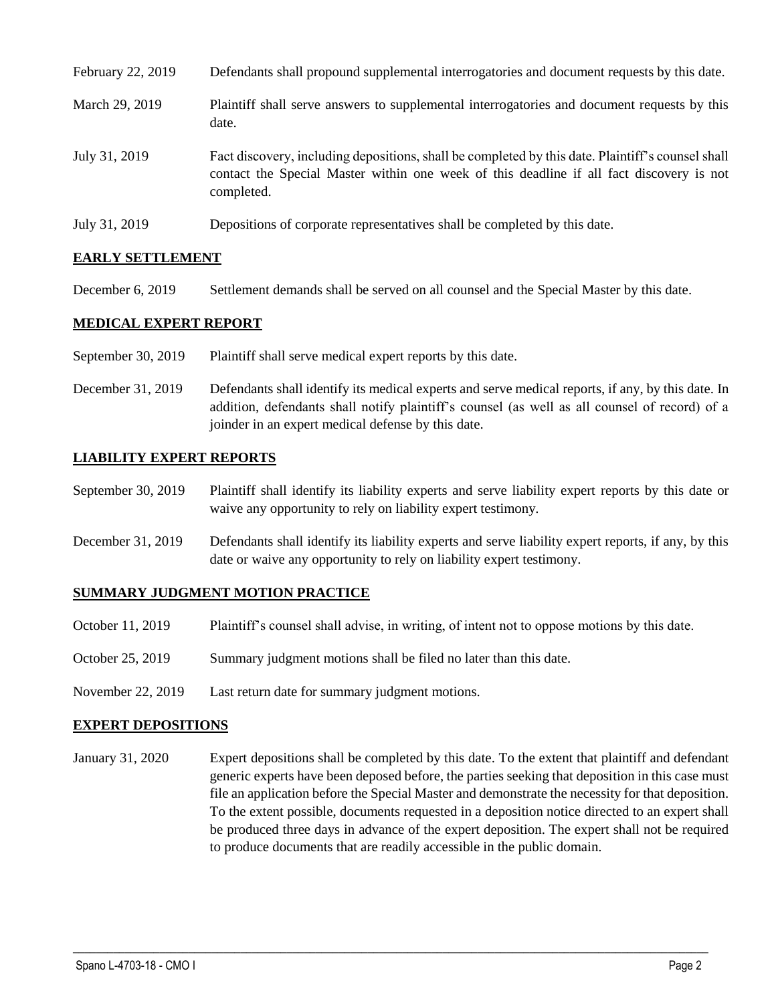| February 22, 2019 | Defendants shall propound supplemental interrogatories and document requests by this date.                                                                                                                  |
|-------------------|-------------------------------------------------------------------------------------------------------------------------------------------------------------------------------------------------------------|
| March 29, 2019    | Plaintiff shall serve answers to supplemental interrogatories and document requests by this<br>date.                                                                                                        |
| July 31, 2019     | Fact discovery, including depositions, shall be completed by this date. Plaintiff's counsel shall<br>contact the Special Master within one week of this deadline if all fact discovery is not<br>completed. |
| July 31, 2019     | Depositions of corporate representatives shall be completed by this date.                                                                                                                                   |

### **EARLY SETTLEMENT**

December 6, 2019 Settlement demands shall be served on all counsel and the Special Master by this date.

### **MEDICAL EXPERT REPORT**

- September 30, 2019 Plaintiff shall serve medical expert reports by this date.
- December 31, 2019 Defendants shall identify its medical experts and serve medical reports, if any, by this date. In addition, defendants shall notify plaintiff's counsel (as well as all counsel of record) of a joinder in an expert medical defense by this date.

### **LIABILITY EXPERT REPORTS**

- September 30, 2019 Plaintiff shall identify its liability experts and serve liability expert reports by this date or waive any opportunity to rely on liability expert testimony.
- December 31, 2019 Defendants shall identify its liability experts and serve liability expert reports, if any, by this date or waive any opportunity to rely on liability expert testimony.

#### **SUMMARY JUDGMENT MOTION PRACTICE**

- October 11, 2019 Plaintiff's counsel shall advise, in writing, of intent not to oppose motions by this date.
- October 25, 2019 Summary judgment motions shall be filed no later than this date.
- November 22, 2019 Last return date for summary judgment motions.

#### **EXPERT DEPOSITIONS**

January 31, 2020 Expert depositions shall be completed by this date. To the extent that plaintiff and defendant generic experts have been deposed before, the parties seeking that deposition in this case must file an application before the Special Master and demonstrate the necessity for that deposition. To the extent possible, documents requested in a deposition notice directed to an expert shall be produced three days in advance of the expert deposition. The expert shall not be required to produce documents that are readily accessible in the public domain.

 $\_$  ,  $\_$  ,  $\_$  ,  $\_$  ,  $\_$  ,  $\_$  ,  $\_$  ,  $\_$  ,  $\_$  ,  $\_$  ,  $\_$  ,  $\_$  ,  $\_$  ,  $\_$  ,  $\_$  ,  $\_$  ,  $\_$  ,  $\_$  ,  $\_$  ,  $\_$  ,  $\_$  ,  $\_$  ,  $\_$  ,  $\_$  ,  $\_$  ,  $\_$  ,  $\_$  ,  $\_$  ,  $\_$  ,  $\_$  ,  $\_$  ,  $\_$  ,  $\_$  ,  $\_$  ,  $\_$  ,  $\_$  ,  $\_$  ,